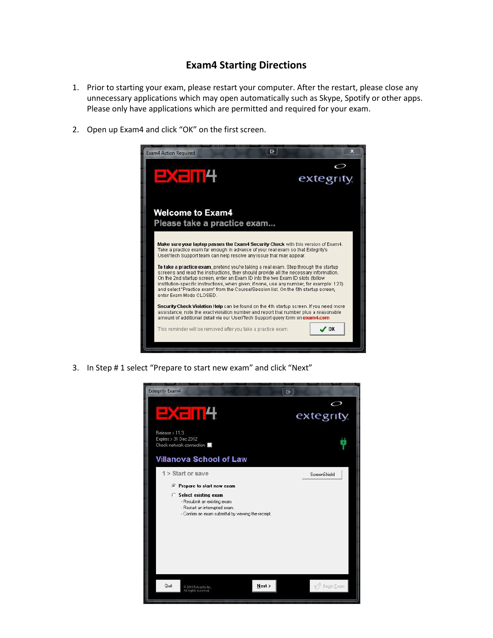## **Exam4 Starting Directions**

- 1. Prior to starting your exam, please restart your computer. After the restart, please close any unnecessary applications which may open automatically such as Skype, Spotify or other apps. Please only have applications which are permitted and required for your exam.
- 2. Open up Exam4 and click "OK" on the first screen.



3. In Step # 1 select "Prepare to start new exam" and click "Next"

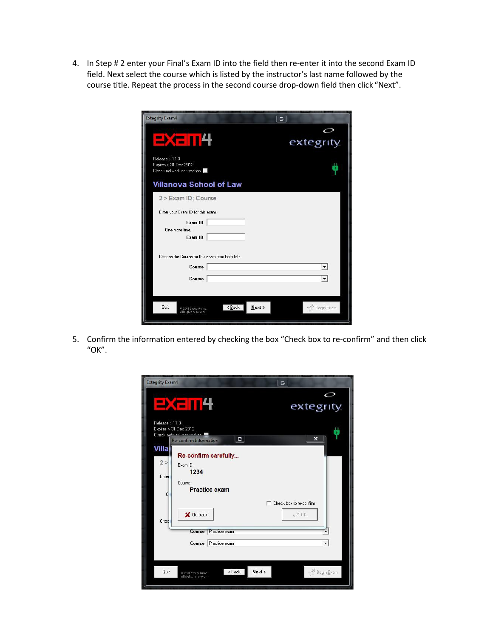4. In Step # 2 enter your Final's Exam ID into the field then re-enter it into the second Exam ID field. Next select the course which is listed by the instructor's last name followed by the course title. Repeat the process in the second course drop-down field then click "Next".

| <b>Extegrity Exam4</b>                                                    | E                    |
|---------------------------------------------------------------------------|----------------------|
| <b>EXE 114</b>                                                            | extegrity            |
| Release > 11.3<br>Expires > 31 Dec 2012<br>Check network connection       |                      |
| <b>Villanova School of Law</b>                                            |                      |
| 2 > Exam ID; Course                                                       |                      |
| Enter your Exam ID for this exam.                                         |                      |
| Exam ID<br>One more time<br>Exam ID                                       |                      |
| Choose the Course for this exam from both lists.                          |                      |
| Course                                                                    |                      |
| Course                                                                    |                      |
| <b>Quit</b><br>$\leq$ Back<br>2011 Extegrity Inc.<br>All rights reserved. | Next ><br>Begin Exam |

5. Confirm the information entered by checking the box "Check box to re-confirm" and then click "OK".

| <b>Extegrity Exam4</b><br>더                                                                                       |
|-------------------------------------------------------------------------------------------------------------------|
| $\scriptstyle\mathcal{O}$<br>2X 114<br>extegrity                                                                  |
| Release > 11.3<br>Expires > 31 Dec 2012<br>Check network connoction<br>더<br>$\mathbf x$<br>Re-confirm Information |
| Villa<br>Re-confirm carefully                                                                                     |
| 2 ><br>Exam ID                                                                                                    |
| 1234                                                                                                              |
| Enter<br>Course                                                                                                   |
| <b>Practice exam</b><br>0                                                                                         |
| □ Check box to re-confirm                                                                                         |
| $\mathscr{D}$ OK<br>X Go back<br>Chod                                                                             |
| Course<br>Practice exam                                                                                           |
| Course Practice exam<br>۰                                                                                         |
|                                                                                                                   |
| Next<br>$\leq$ Back<br>Begin Exam<br>Quit<br>O 2011 Extegrity Inc.<br>All rights reserved.                        |
|                                                                                                                   |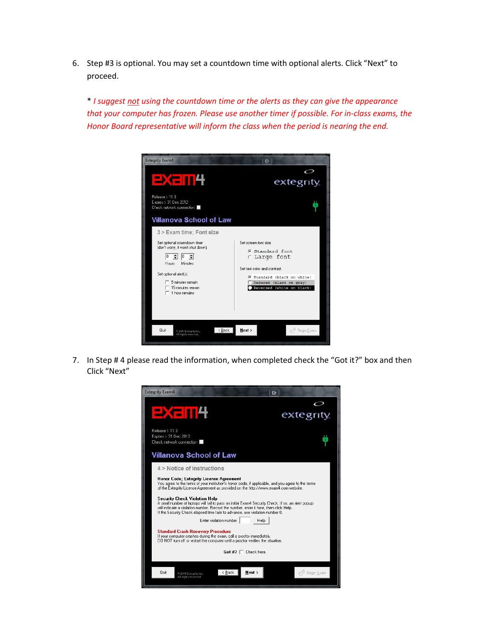6. Step #3 is optional. You may set a countdown time with optional alerts. Click "Next" to proceed.

\* *I suggest not using the countdown time or the alerts as they can give the appearance that your computer has frozen. Please use another timer if possible. For in-class exams, the Honor Board representative will inform the class when the period is nearing the end.*



7. In Step # 4 please read the information, when completed check the "Got it?" box and then Click "Next"

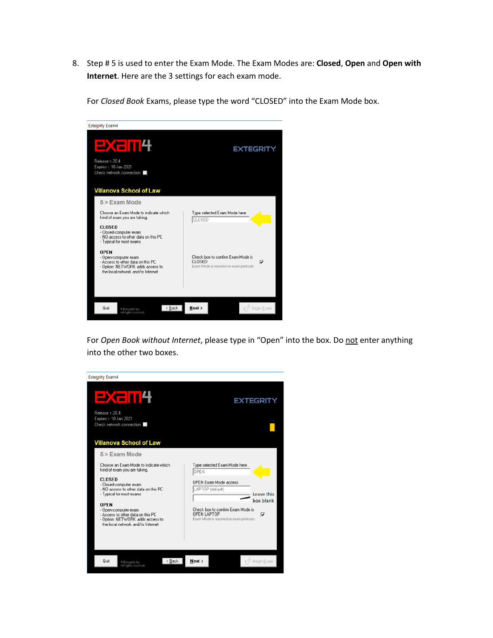8. Step # 5 is used to enter the Exam Mode. The Exam Modes are: **Closed**, **Open** and **Open with Internet**. Here are the 3 settings for each exam mode.

For *Closed Book* Exams, please type the word "CLOSED" into the Exam Mode box.



For Open Book without Internet, please type in "Open" into the box. Do not enter anything into the other two boxes.

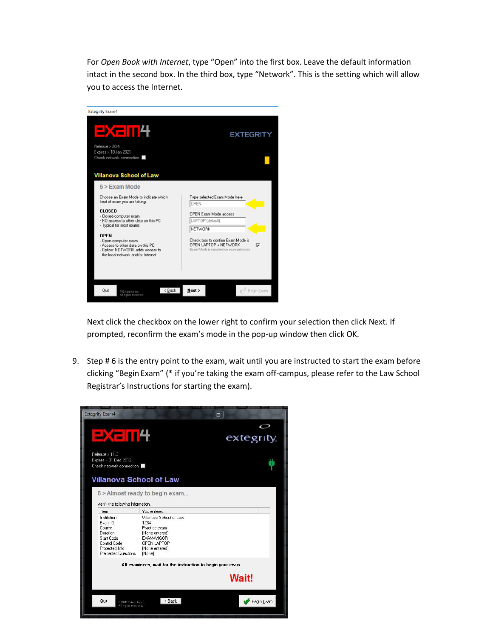For *Open Book with Internet*, type "Open" into the first box. Leave the default information intact in the second box. In the third box, type "Network". This is the setting which will allow you to access the Internet.



Next click the checkbox on the lower right to confirm your selection then click Next. If prompted, reconfirm the exam's mode in the pop-up window then click OK.

9. Step # 6 is the entry point to the exam, wait until you are instructed to start the exam before clicking "Begin Exam" (\* if you're taking the exam off-campus, please refer to the Law School Registrar's Instructions for starting the exam).